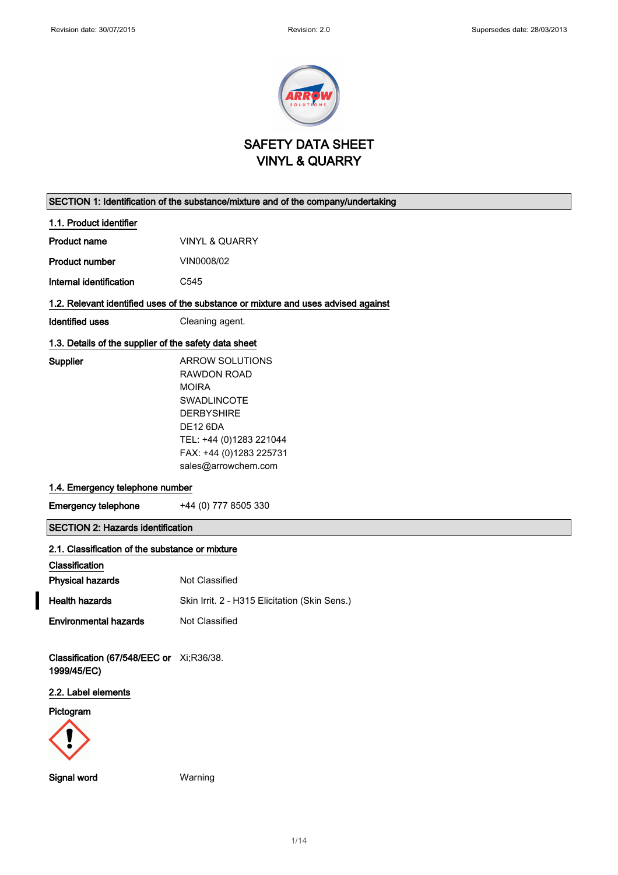

## SAFETY DATA SHEET VINYL & QUARRY

# SECTION 1: Identification of the substance/mixture and of the company/undertaking 1.1. Product identifier Product name VINYL & QUARRY Product number VIN0008/02 Internal identification C545 1.2. Relevant identified uses of the substance or mixture and uses advised against Identified uses Cleaning agent. 1.3. Details of the supplier of the safety data sheet Supplier **ARROW SOLUTIONS** RAWDON ROAD MOIRA SWADLINCOTE DERBYSHIRE DE12 6DA TEL: +44 (0)1283 221044 FAX: +44 (0)1283 225731 sales@arrowchem.com 1.4. Emergency telephone number Emergency telephone +44 (0) 777 8505 330 SECTION 2: Hazards identification 2.1. Classification of the substance or mixture Classification **Physical hazards** Not Classified Health hazards Skin Irrit. 2 - H315 Elicitation (Skin Sens.) **Environmental hazards** Not Classified Classification (67/548/EEC or Xi;R36/38. 1999/45/EC) 2.2. Label elements Pictogram

1/ 14

Signal word Warning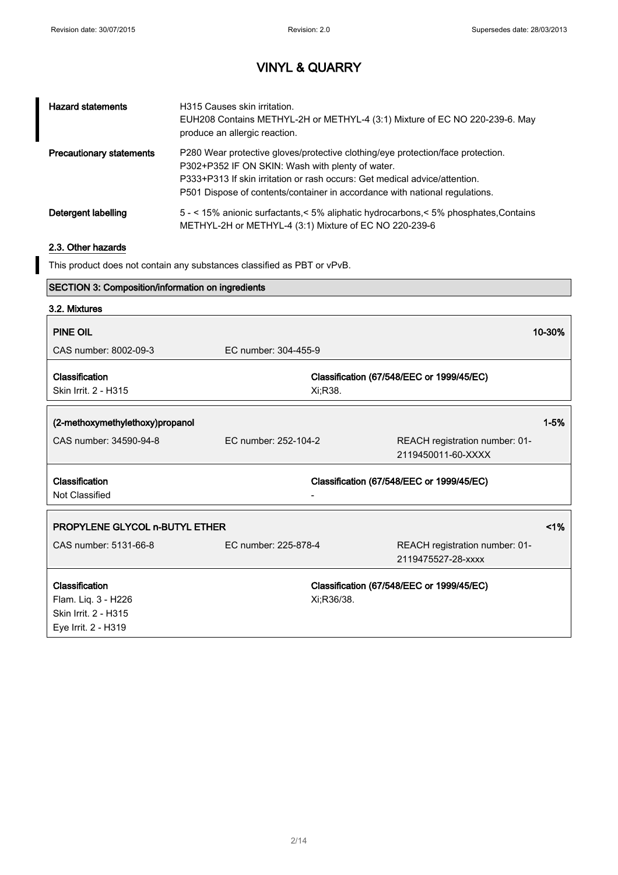$\overline{\phantom{a}}$ 

# VINYL & QUARRY

| <b>Hazard statements</b>        | H315 Causes skin irritation.<br>EUH208 Contains METHYL-2H or METHYL-4 (3:1) Mixture of EC NO 220-239-6. May<br>produce an allergic reaction.                                                                                                                                                     |
|---------------------------------|--------------------------------------------------------------------------------------------------------------------------------------------------------------------------------------------------------------------------------------------------------------------------------------------------|
| <b>Precautionary statements</b> | P280 Wear protective gloves/protective clothing/eye protection/face protection.<br>P302+P352 IF ON SKIN: Wash with plenty of water.<br>P333+P313 If skin irritation or rash occurs: Get medical advice/attention.<br>P501 Dispose of contents/container in accordance with national regulations. |
| Detergent labelling             | 5 - < 15% anionic surfactants, < 5% aliphatic hydrocarbons, < 5% phosphates, Contains<br>METHYL-2H or METHYL-4 (3:1) Mixture of EC NO 220-239-6                                                                                                                                                  |

### 2.3. Other hazards

This product does not contain any substances classified as PBT or vPvB.

| <b>SECTION 3: Composition/information on ingredients</b> |                      |            |                                           |          |
|----------------------------------------------------------|----------------------|------------|-------------------------------------------|----------|
| 3.2. Mixtures                                            |                      |            |                                           |          |
| <b>PINE OIL</b>                                          |                      |            |                                           | 10-30%   |
|                                                          |                      |            |                                           |          |
| CAS number: 8002-09-3                                    | EC number: 304-455-9 |            |                                           |          |
| Classification                                           |                      |            | Classification (67/548/EEC or 1999/45/EC) |          |
| Skin Irrit. 2 - H315                                     |                      | Xi;R38.    |                                           |          |
|                                                          |                      |            |                                           |          |
| (2-methoxymethylethoxy)propanol                          |                      |            |                                           | $1 - 5%$ |
| CAS number: 34590-94-8                                   | EC number: 252-104-2 |            | REACH registration number: 01-            |          |
|                                                          |                      |            | 2119450011-60-XXXX                        |          |
|                                                          |                      |            |                                           |          |
| Classification                                           |                      |            | Classification (67/548/EEC or 1999/45/EC) |          |
| Not Classified                                           |                      |            |                                           |          |
|                                                          |                      |            |                                           |          |
| <b>PROPYLENE GLYCOL n-BUTYL ETHER</b>                    |                      |            |                                           | $1\%$    |
| CAS number: 5131-66-8                                    | EC number: 225-878-4 |            | REACH registration number: 01-            |          |
|                                                          |                      |            | 2119475527-28-xxxx                        |          |
|                                                          |                      |            |                                           |          |
| Classification                                           |                      |            | Classification (67/548/EEC or 1999/45/EC) |          |
| Flam. Liq. 3 - H226                                      |                      | Xi:R36/38. |                                           |          |
| Skin Irrit. 2 - H315                                     |                      |            |                                           |          |
| Eye Irrit. 2 - H319                                      |                      |            |                                           |          |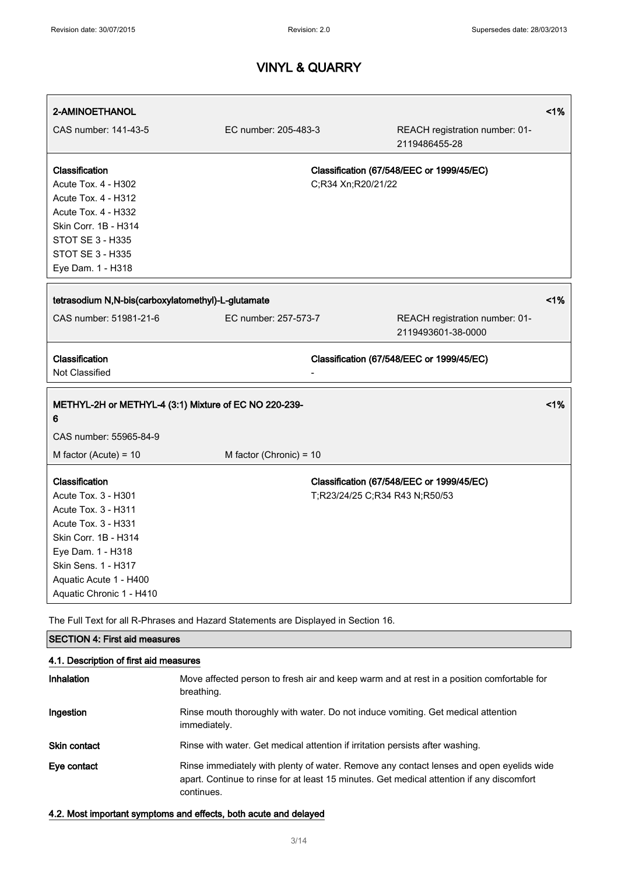| 2-AMINOETHANOL                                                                                                                                                                                                |                         |                                |                                                      | 1%    |
|---------------------------------------------------------------------------------------------------------------------------------------------------------------------------------------------------------------|-------------------------|--------------------------------|------------------------------------------------------|-------|
| CAS number: 141-43-5                                                                                                                                                                                          | EC number: 205-483-3    |                                | REACH registration number: 01-<br>2119486455-28      |       |
| Classification<br><b>Acute Tox. 4 - H302</b><br>Acute Tox. 4 - H312<br><b>Acute Tox. 4 - H332</b><br>Skin Corr. 1B - H314<br><b>STOT SE 3 - H335</b><br>STOT SE 3 - H335<br>Eye Dam. 1 - H318                 |                         | C;R34 Xn;R20/21/22             | Classification (67/548/EEC or 1999/45/EC)            |       |
| tetrasodium N,N-bis(carboxylatomethyl)-L-glutamate                                                                                                                                                            |                         |                                |                                                      | $1\%$ |
| CAS number: 51981-21-6                                                                                                                                                                                        | EC number: 257-573-7    |                                | REACH registration number: 01-<br>2119493601-38-0000 |       |
| Classification<br>Not Classified                                                                                                                                                                              |                         |                                | Classification (67/548/EEC or 1999/45/EC)            |       |
| METHYL-2H or METHYL-4 (3:1) Mixture of EC NO 220-239-<br>6<br>CAS number: 55965-84-9                                                                                                                          |                         |                                |                                                      | 1%    |
| M factor (Acute) = 10                                                                                                                                                                                         | M factor (Chronic) = 10 |                                |                                                      |       |
| Classification<br>Acute Tox. 3 - H301<br>Acute Tox. 3 - H311<br>Acute Tox. 3 - H331<br>Skin Corr. 1B - H314<br>Eye Dam. 1 - H318<br>Skin Sens. 1 - H317<br>Aquatic Acute 1 - H400<br>Aquatic Chronic 1 - H410 |                         | T;R23/24/25 C;R34 R43 N;R50/53 | Classification (67/548/EEC or 1999/45/EC)            |       |

The Full Text for all R-Phrases and Hazard Statements are Displayed in Section 16.

### SECTION 4: First aid measures

| 4.1. Description of first aid measures |                                                                                                                                                                                                    |  |  |
|----------------------------------------|----------------------------------------------------------------------------------------------------------------------------------------------------------------------------------------------------|--|--|
| Inhalation                             | Move affected person to fresh air and keep warm and at rest in a position comfortable for<br>breathing.                                                                                            |  |  |
| Ingestion                              | Rinse mouth thoroughly with water. Do not induce vomiting. Get medical attention<br>immediately.                                                                                                   |  |  |
| <b>Skin contact</b>                    | Rinse with water. Get medical attention if irritation persists after washing.                                                                                                                      |  |  |
| Eye contact                            | Rinse immediately with plenty of water. Remove any contact lenses and open eyelids wide<br>apart. Continue to rinse for at least 15 minutes. Get medical attention if any discomfort<br>continues. |  |  |

#### 4.2. Most important symptoms and effects, both acute and delayed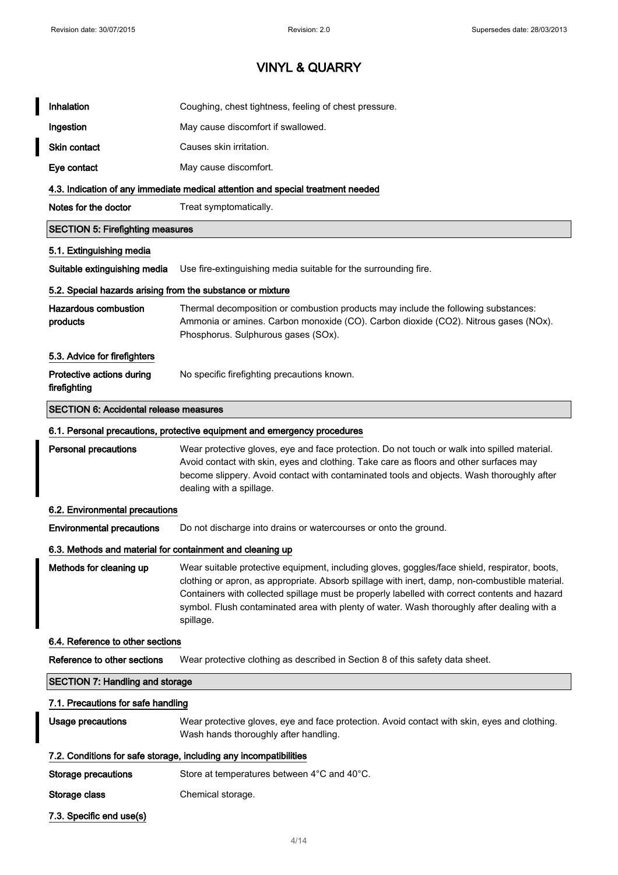$\overline{\phantom{a}}$ 

| Inhalation                                                 | Coughing, chest tightness, feeling of chest pressure.                                                                                                                                                                                                                                                                                                                                                       |  |  |
|------------------------------------------------------------|-------------------------------------------------------------------------------------------------------------------------------------------------------------------------------------------------------------------------------------------------------------------------------------------------------------------------------------------------------------------------------------------------------------|--|--|
| Ingestion                                                  | May cause discomfort if swallowed.                                                                                                                                                                                                                                                                                                                                                                          |  |  |
| <b>Skin contact</b>                                        | Causes skin irritation.                                                                                                                                                                                                                                                                                                                                                                                     |  |  |
| Eye contact                                                | May cause discomfort.                                                                                                                                                                                                                                                                                                                                                                                       |  |  |
|                                                            | 4.3. Indication of any immediate medical attention and special treatment needed                                                                                                                                                                                                                                                                                                                             |  |  |
| Notes for the doctor                                       | Treat symptomatically.                                                                                                                                                                                                                                                                                                                                                                                      |  |  |
| <b>SECTION 5: Firefighting measures</b>                    |                                                                                                                                                                                                                                                                                                                                                                                                             |  |  |
| 5.1. Extinguishing media                                   |                                                                                                                                                                                                                                                                                                                                                                                                             |  |  |
| Suitable extinguishing media                               | Use fire-extinguishing media suitable for the surrounding fire.                                                                                                                                                                                                                                                                                                                                             |  |  |
| 5.2. Special hazards arising from the substance or mixture |                                                                                                                                                                                                                                                                                                                                                                                                             |  |  |
| <b>Hazardous combustion</b><br>products                    | Thermal decomposition or combustion products may include the following substances:<br>Ammonia or amines. Carbon monoxide (CO). Carbon dioxide (CO2). Nitrous gases (NOx).<br>Phosphorus. Sulphurous gases (SOx).                                                                                                                                                                                            |  |  |
| 5.3. Advice for firefighters                               |                                                                                                                                                                                                                                                                                                                                                                                                             |  |  |
| Protective actions during<br>firefighting                  | No specific firefighting precautions known.                                                                                                                                                                                                                                                                                                                                                                 |  |  |
| <b>SECTION 6: Accidental release measures</b>              |                                                                                                                                                                                                                                                                                                                                                                                                             |  |  |
|                                                            | 6.1. Personal precautions, protective equipment and emergency procedures                                                                                                                                                                                                                                                                                                                                    |  |  |
| <b>Personal precautions</b>                                | Wear protective gloves, eye and face protection. Do not touch or walk into spilled material.<br>Avoid contact with skin, eyes and clothing. Take care as floors and other surfaces may<br>become slippery. Avoid contact with contaminated tools and objects. Wash thoroughly after<br>dealing with a spillage.                                                                                             |  |  |
| 6.2. Environmental precautions                             |                                                                                                                                                                                                                                                                                                                                                                                                             |  |  |
| <b>Environmental precautions</b>                           | Do not discharge into drains or watercourses or onto the ground.                                                                                                                                                                                                                                                                                                                                            |  |  |
| 6.3. Methods and material for containment and cleaning up  |                                                                                                                                                                                                                                                                                                                                                                                                             |  |  |
| Methods for cleaning up                                    | Wear suitable protective equipment, including gloves, goggles/face shield, respirator, boots,<br>clothing or apron, as appropriate. Absorb spillage with inert, damp, non-combustible material.<br>Containers with collected spillage must be properly labelled with correct contents and hazard<br>symbol. Flush contaminated area with plenty of water. Wash thoroughly after dealing with a<br>spillage. |  |  |
| 6.4. Reference to other sections                           |                                                                                                                                                                                                                                                                                                                                                                                                             |  |  |
| Reference to other sections                                | Wear protective clothing as described in Section 8 of this safety data sheet.                                                                                                                                                                                                                                                                                                                               |  |  |
| <b>SECTION 7: Handling and storage</b>                     |                                                                                                                                                                                                                                                                                                                                                                                                             |  |  |
| 7.1. Precautions for safe handling                         |                                                                                                                                                                                                                                                                                                                                                                                                             |  |  |
| <b>Usage precautions</b>                                   | Wear protective gloves, eye and face protection. Avoid contact with skin, eyes and clothing.<br>Wash hands thoroughly after handling.                                                                                                                                                                                                                                                                       |  |  |
|                                                            | 7.2. Conditions for safe storage, including any incompatibilities                                                                                                                                                                                                                                                                                                                                           |  |  |
| <b>Storage precautions</b>                                 | Store at temperatures between 4°C and 40°C.                                                                                                                                                                                                                                                                                                                                                                 |  |  |
| Storage class                                              | Chemical storage.                                                                                                                                                                                                                                                                                                                                                                                           |  |  |
| 7.3. Specific end use(s)                                   |                                                                                                                                                                                                                                                                                                                                                                                                             |  |  |
|                                                            |                                                                                                                                                                                                                                                                                                                                                                                                             |  |  |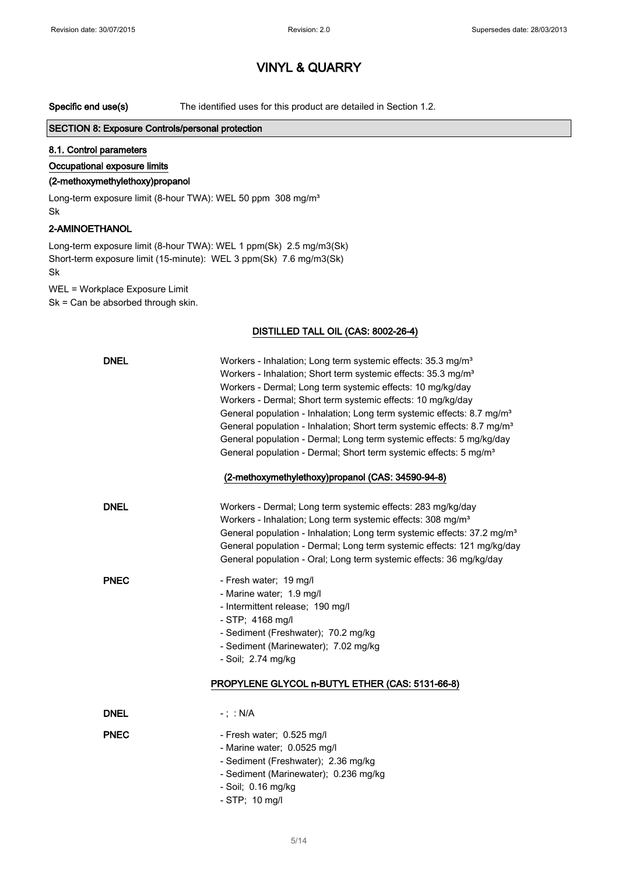Specific end use(s) The identified uses for this product are detailed in Section 1.2.

#### SECTION 8: Exposure Controls/personal protection

### 8.1. Control parameters

#### Occupational exposure limits

#### (2-methoxymethylethoxy)propanol

Long-term exposure limit (8-hour TWA): WEL 50 ppm 308 mg/m<sup>3</sup> Sk

### 2-AMINOETHANOL

Long-term exposure limit (8-hour TWA): WEL 1 ppm(Sk) 2.5 mg/m3(Sk) Short-term exposure limit (15-minute): WEL 3 ppm(Sk) 7.6 mg/m3(Sk) Sk

WEL = Workplace Exposure Limit Sk = Can be absorbed through skin.

#### DISTILLED TALL OIL (CAS: 8002-26-4)

| <b>DNEL</b> | Workers - Inhalation; Long term systemic effects: 35.3 mg/m <sup>3</sup><br>Workers - Inhalation; Short term systemic effects: 35.3 mg/m <sup>3</sup><br>Workers - Dermal; Long term systemic effects: 10 mg/kg/day<br>Workers - Dermal; Short term systemic effects: 10 mg/kg/day<br>General population - Inhalation; Long term systemic effects: 8.7 mg/m <sup>3</sup><br>General population - Inhalation; Short term systemic effects: 8.7 mg/m <sup>3</sup><br>General population - Dermal; Long term systemic effects: 5 mg/kg/day<br>General population - Dermal; Short term systemic effects: 5 mg/m <sup>3</sup><br>(2-methoxymethylethoxy)propanol (CAS: 34590-94-8) |
|-------------|-------------------------------------------------------------------------------------------------------------------------------------------------------------------------------------------------------------------------------------------------------------------------------------------------------------------------------------------------------------------------------------------------------------------------------------------------------------------------------------------------------------------------------------------------------------------------------------------------------------------------------------------------------------------------------|
| <b>DNEL</b> | Workers - Dermal; Long term systemic effects: 283 mg/kg/day<br>Workers - Inhalation; Long term systemic effects: 308 mg/m <sup>3</sup><br>General population - Inhalation; Long term systemic effects: 37.2 mg/m <sup>3</sup><br>General population - Dermal; Long term systemic effects: 121 mg/kg/day<br>General population - Oral; Long term systemic effects: 36 mg/kg/day                                                                                                                                                                                                                                                                                                |
| <b>PNEC</b> | - Fresh water; 19 mg/l<br>- Marine water; 1.9 mg/l<br>- Intermittent release; 190 mg/l<br>- STP; 4168 mg/l<br>- Sediment (Freshwater); 70.2 mg/kg<br>- Sediment (Marinewater); 7.02 mg/kg<br>- Soil; 2.74 mg/kg<br>PROPYLENE GLYCOL n-BUTYL ETHER (CAS: 5131-66-8)                                                                                                                                                                                                                                                                                                                                                                                                            |
| <b>DNEL</b> | $-$ ; : N/A                                                                                                                                                                                                                                                                                                                                                                                                                                                                                                                                                                                                                                                                   |
| <b>PNEC</b> | - Fresh water; 0.525 mg/l<br>- Marine water; 0.0525 mg/l<br>- Sediment (Freshwater); 2.36 mg/kg<br>- Sediment (Marinewater); 0.236 mg/kg<br>- Soil; 0.16 mg/kg<br>- STP; 10 mg/l                                                                                                                                                                                                                                                                                                                                                                                                                                                                                              |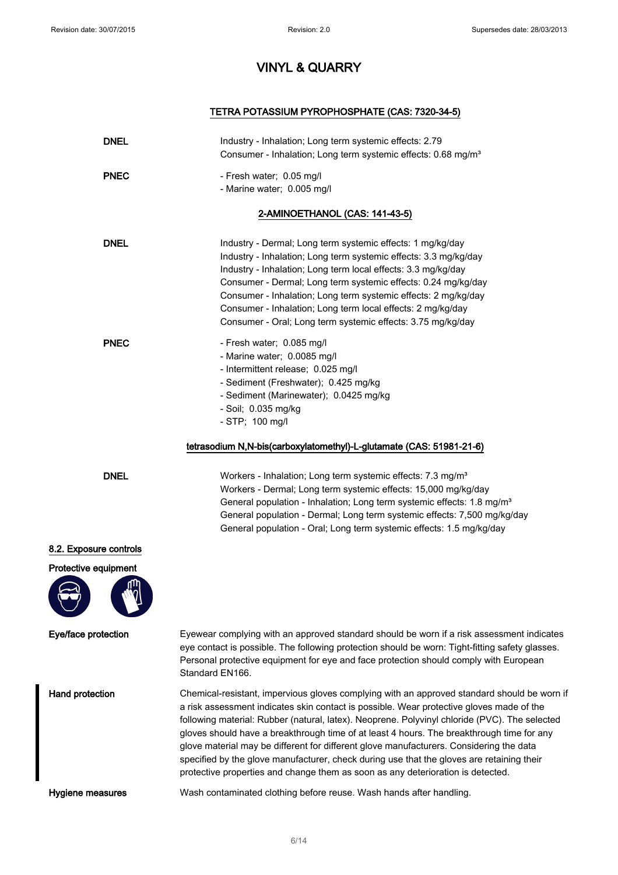### TETRA POTASSIUM PYROPHOSPHATE (CAS: 7320-34-5)

| <b>DNEL</b>            | Industry - Inhalation; Long term systemic effects: 2.79<br>Consumer - Inhalation; Long term systemic effects: 0.68 mg/m <sup>3</sup>                                                                                                                                                                                                                                                                                                                                                                                                                                                                                                                             |
|------------------------|------------------------------------------------------------------------------------------------------------------------------------------------------------------------------------------------------------------------------------------------------------------------------------------------------------------------------------------------------------------------------------------------------------------------------------------------------------------------------------------------------------------------------------------------------------------------------------------------------------------------------------------------------------------|
| <b>PNEC</b>            | - Fresh water; 0.05 mg/l<br>- Marine water; 0.005 mg/l                                                                                                                                                                                                                                                                                                                                                                                                                                                                                                                                                                                                           |
|                        | 2-AMINOETHANOL (CAS: 141-43-5)                                                                                                                                                                                                                                                                                                                                                                                                                                                                                                                                                                                                                                   |
| <b>DNEL</b>            | Industry - Dermal; Long term systemic effects: 1 mg/kg/day<br>Industry - Inhalation; Long term systemic effects: 3.3 mg/kg/day<br>Industry - Inhalation; Long term local effects: 3.3 mg/kg/day<br>Consumer - Dermal; Long term systemic effects: 0.24 mg/kg/day<br>Consumer - Inhalation; Long term systemic effects: 2 mg/kg/day<br>Consumer - Inhalation; Long term local effects: 2 mg/kg/day<br>Consumer - Oral; Long term systemic effects: 3.75 mg/kg/day                                                                                                                                                                                                 |
| <b>PNEC</b>            | - Fresh water; 0.085 mg/l<br>- Marine water; 0.0085 mg/l<br>- Intermittent release; 0.025 mg/l<br>- Sediment (Freshwater); 0.425 mg/kg<br>- Sediment (Marinewater); 0.0425 mg/kg<br>- Soil; 0.035 mg/kg<br>$-$ STP; 100 mg/l                                                                                                                                                                                                                                                                                                                                                                                                                                     |
|                        | tetrasodium N,N-bis(carboxylatomethyl)-L-glutamate (CAS: 51981-21-6)                                                                                                                                                                                                                                                                                                                                                                                                                                                                                                                                                                                             |
| <b>DNEL</b>            | Workers - Inhalation; Long term systemic effects: 7.3 mg/m <sup>3</sup><br>Workers - Dermal; Long term systemic effects: 15,000 mg/kg/day<br>General population - Inhalation; Long term systemic effects: 1.8 mg/m <sup>3</sup><br>General population - Dermal; Long term systemic effects: 7,500 mg/kg/day<br>General population - Oral; Long term systemic effects: 1.5 mg/kg/day                                                                                                                                                                                                                                                                              |
| 8.2. Exposure controls |                                                                                                                                                                                                                                                                                                                                                                                                                                                                                                                                                                                                                                                                  |
| Protective equipment   |                                                                                                                                                                                                                                                                                                                                                                                                                                                                                                                                                                                                                                                                  |
| Eye/face protection    | Eyewear complying with an approved standard should be worn if a risk assessment indicates<br>eye contact is possible. The following protection should be worn: Tight-fitting safety glasses.<br>Personal protective equipment for eye and face protection should comply with European<br>Standard EN166.                                                                                                                                                                                                                                                                                                                                                         |
| Hand protection        | Chemical-resistant, impervious gloves complying with an approved standard should be worn if<br>a risk assessment indicates skin contact is possible. Wear protective gloves made of the<br>following material: Rubber (natural, latex). Neoprene. Polyvinyl chloride (PVC). The selected<br>gloves should have a breakthrough time of at least 4 hours. The breakthrough time for any<br>glove material may be different for different glove manufacturers. Considering the data<br>specified by the glove manufacturer, check during use that the gloves are retaining their<br>protective properties and change them as soon as any deterioration is detected. |
| Hygiene measures       | Wash contaminated clothing before reuse. Wash hands after handling.                                                                                                                                                                                                                                                                                                                                                                                                                                                                                                                                                                                              |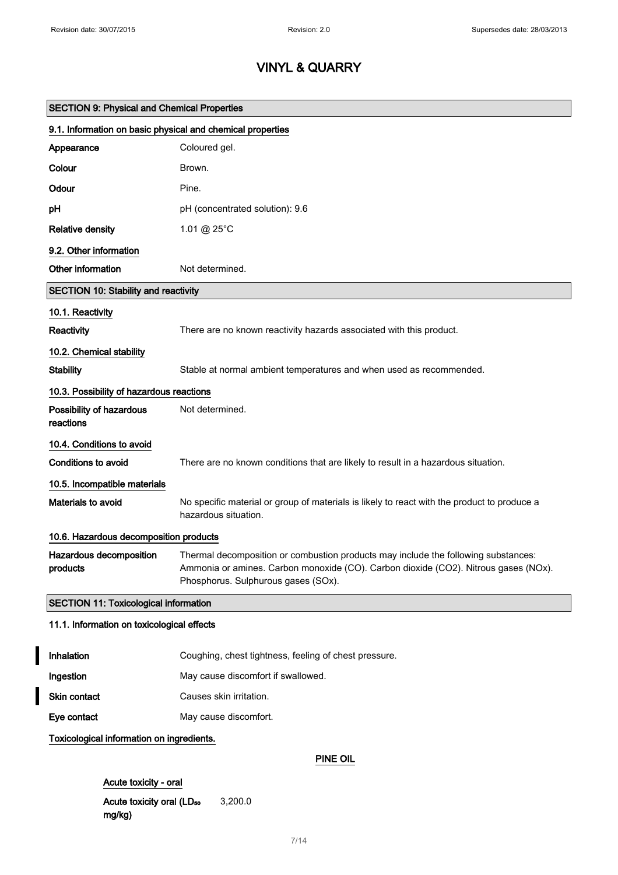| <b>SECTION 9: Physical and Chemical Properties</b>         |                                                                                                                                                                                                                  |  |  |
|------------------------------------------------------------|------------------------------------------------------------------------------------------------------------------------------------------------------------------------------------------------------------------|--|--|
| 9.1. Information on basic physical and chemical properties |                                                                                                                                                                                                                  |  |  |
| Appearance                                                 | Coloured gel.                                                                                                                                                                                                    |  |  |
| Colour                                                     | Brown.                                                                                                                                                                                                           |  |  |
| Odour                                                      | Pine.                                                                                                                                                                                                            |  |  |
| pH                                                         | pH (concentrated solution): 9.6                                                                                                                                                                                  |  |  |
| <b>Relative density</b>                                    | 1.01 @ 25°C                                                                                                                                                                                                      |  |  |
| 9.2. Other information                                     |                                                                                                                                                                                                                  |  |  |
| Other information                                          | Not determined.                                                                                                                                                                                                  |  |  |
| <b>SECTION 10: Stability and reactivity</b>                |                                                                                                                                                                                                                  |  |  |
| 10.1. Reactivity                                           |                                                                                                                                                                                                                  |  |  |
| Reactivity                                                 | There are no known reactivity hazards associated with this product.                                                                                                                                              |  |  |
| 10.2. Chemical stability                                   |                                                                                                                                                                                                                  |  |  |
| <b>Stability</b>                                           | Stable at normal ambient temperatures and when used as recommended.                                                                                                                                              |  |  |
| 10.3. Possibility of hazardous reactions                   |                                                                                                                                                                                                                  |  |  |
| Possibility of hazardous<br>reactions                      | Not determined.                                                                                                                                                                                                  |  |  |
| 10.4. Conditions to avoid                                  |                                                                                                                                                                                                                  |  |  |
| <b>Conditions to avoid</b>                                 | There are no known conditions that are likely to result in a hazardous situation.                                                                                                                                |  |  |
| 10.5. Incompatible materials                               |                                                                                                                                                                                                                  |  |  |
| Materials to avoid                                         | No specific material or group of materials is likely to react with the product to produce a<br>hazardous situation.                                                                                              |  |  |
| 10.6. Hazardous decomposition products                     |                                                                                                                                                                                                                  |  |  |
| Hazardous decomposition<br>products                        | Thermal decomposition or combustion products may include the following substances:<br>Ammonia or amines. Carbon monoxide (CO). Carbon dioxide (CO2). Nitrous gases (NOx).<br>Phosphorus. Sulphurous gases (SOx). |  |  |
| <b>SECTION 11: Toxicological information</b>               |                                                                                                                                                                                                                  |  |  |
|                                                            | 11.1. Information on toxicological effects                                                                                                                                                                       |  |  |
| Inhalation                                                 | Coughing, chest tightness, feeling of chest pressure.                                                                                                                                                            |  |  |
| Ingestion                                                  | May cause discomfort if swallowed.                                                                                                                                                                               |  |  |

Skin contact Causes skin irritation.

Eye contact May cause discomfort.

Toxicological information on ingredients.

I

### PINE OIL

Acute toxicity - oral Acute toxicity oral (LD<sub>50</sub> mg/kg) 3,200.0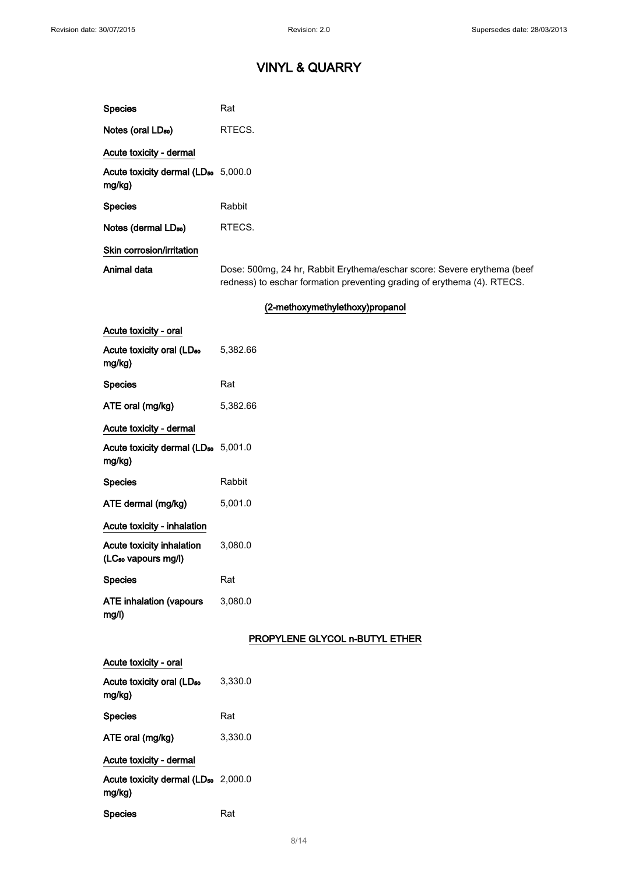| <b>Species</b>                                               | Rat                                                                                                                                                |
|--------------------------------------------------------------|----------------------------------------------------------------------------------------------------------------------------------------------------|
| Notes (oral LD <sub>50</sub> )                               | RTECS.                                                                                                                                             |
| Acute toxicity - dermal                                      |                                                                                                                                                    |
| Acute toxicity dermal (LD <sub>50</sub> 5,000.0<br>mg/kg)    |                                                                                                                                                    |
| <b>Species</b>                                               | Rabbit                                                                                                                                             |
| Notes (dermal LD <sub>50</sub> )                             | RTECS.                                                                                                                                             |
| Skin corrosion/irritation                                    |                                                                                                                                                    |
| Animal data                                                  | Dose: 500mg, 24 hr, Rabbit Erythema/eschar score: Severe erythema (beef<br>redness) to eschar formation preventing grading of erythema (4). RTECS. |
|                                                              | (2-methoxymethylethoxy)propanol                                                                                                                    |
| Acute toxicity - oral                                        |                                                                                                                                                    |
| Acute toxicity oral (LD <sub>50</sub><br>mg/kg)              | 5,382.66                                                                                                                                           |
| <b>Species</b>                                               | Rat                                                                                                                                                |
| ATE oral (mg/kg)                                             | 5,382.66                                                                                                                                           |
| Acute toxicity - dermal                                      |                                                                                                                                                    |
| Acute toxicity dermal (LD <sub>50</sub> 5,001.0<br>mg/kg)    |                                                                                                                                                    |
| <b>Species</b>                                               | Rabbit                                                                                                                                             |
| ATE dermal (mg/kg)                                           | 5,001.0                                                                                                                                            |
| Acute toxicity - inhalation                                  |                                                                                                                                                    |
| Acute toxicity inhalation<br>(LC <sub>50</sub> vapours mg/l) | 3,080.0                                                                                                                                            |
| <b>Species</b>                                               | Rat                                                                                                                                                |
| <b>ATE inhalation (vapours</b><br>mg/l)                      | 3,080.0                                                                                                                                            |
|                                                              | PROPYLENE GLYCOL n-BUTYL ETHER                                                                                                                     |
| Acute toxicity - oral                                        |                                                                                                                                                    |
| Acute toxicity oral (LD <sub>50</sub><br>mg/kg)              | 3,330.0                                                                                                                                            |
| <b>Species</b>                                               | Rat                                                                                                                                                |
| ATE oral (mg/kg)                                             | 3,330.0                                                                                                                                            |
| Acute toxicity - dermal                                      |                                                                                                                                                    |
| Acute toxicity dermal (LD <sub>50</sub> 2,000.0<br>mg/kg)    |                                                                                                                                                    |
| <b>Species</b>                                               | Rat                                                                                                                                                |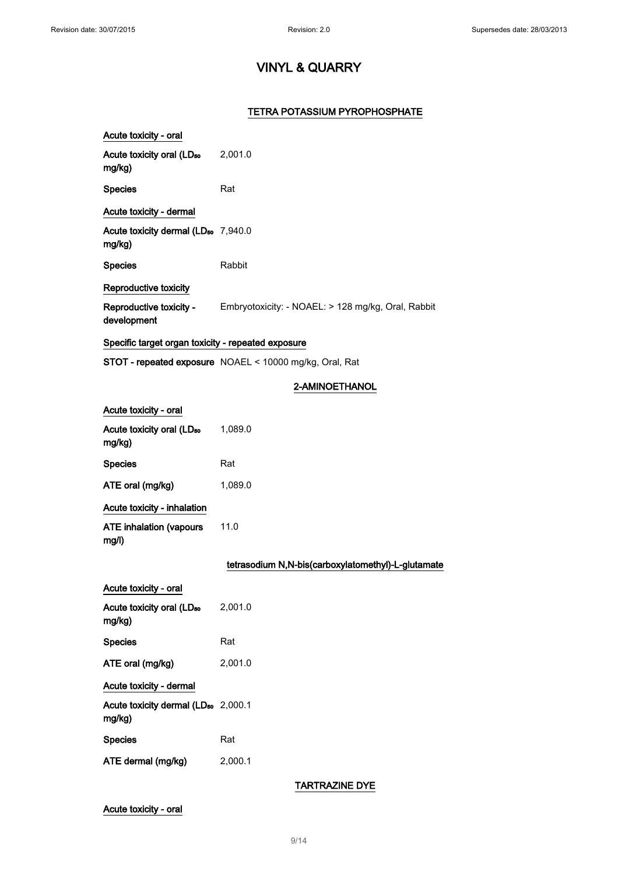### TETRA POTASSIUM PYROPHOSPHATE

| Acute toxicity - oral                                     |                                                                            |
|-----------------------------------------------------------|----------------------------------------------------------------------------|
| Acute toxicity oral (LD <sub>50</sub> 2,001.0<br>mg/kg)   |                                                                            |
| <b>Species</b>                                            | Rat                                                                        |
| Acute toxicity - dermal                                   |                                                                            |
| Acute toxicity dermal (LD <sub>50</sub> 7,940.0<br>mg/kg) |                                                                            |
| <b>Species</b>                                            | Rabbit                                                                     |
| Reproductive toxicity                                     |                                                                            |
| development                                               | Reproductive toxicity - Embryotoxicity: - NOAEL: > 128 mg/kg, Oral, Rabbit |
| Specific target organ toxicity - repeated exposure        |                                                                            |
|                                                           | STOT - repeated exposure NOAEL < 10000 mg/kg, Oral, Rat                    |
|                                                           | 2-AMINOETHANOL                                                             |
| Acute toxicity - oral                                     |                                                                            |
| Acute toxicity oral (LD <sub>50</sub><br>mg/kg)           | 1,089.0                                                                    |
| <b>Species</b>                                            | Rat                                                                        |
| ATE oral (mg/kg)                                          | 1,089.0                                                                    |
| Acute toxicity - inhalation                               |                                                                            |
| <b>ATE inhalation (vapours</b><br>mg/l)                   | 11.0                                                                       |
|                                                           | tetrasodium N,N-bis(carboxylatomethyl)-L-glutamate                         |
| Acute toxicity - oral                                     |                                                                            |
| Acute toxicity oral (LD <sub>50</sub><br>mg/kg)           | 2,001.0                                                                    |
| <b>Species</b>                                            | Rat                                                                        |
| ATE oral (mg/kg)                                          | 2,001.0                                                                    |
| Acute toxicity - dermal                                   |                                                                            |
| Acute toxicity dermal (LD <sub>50</sub> 2,000.1           |                                                                            |

mg/kg) Species Rat ATE dermal (mg/kg) 2,000.1

### TARTRAZINE DYE

### Acute toxicity - oral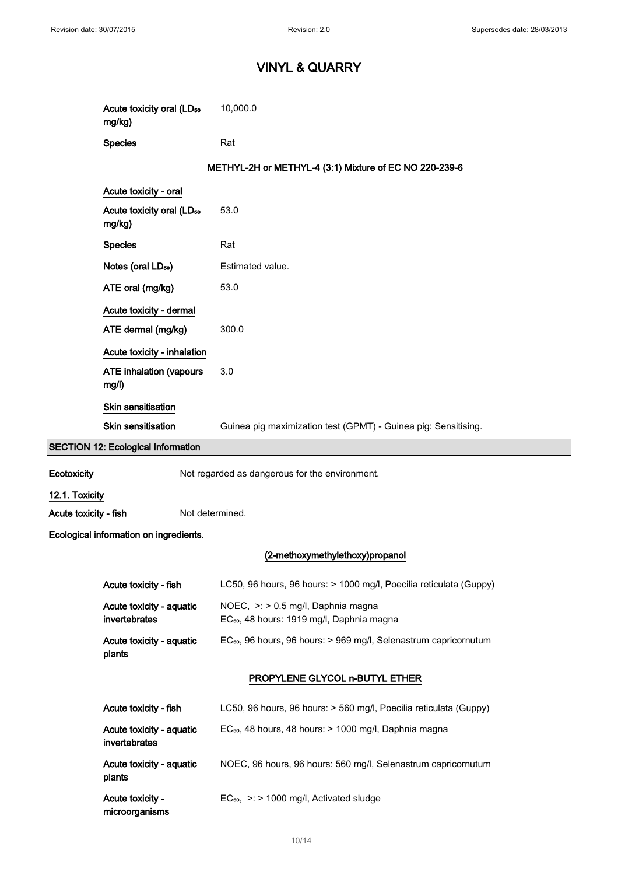|                       | Acute toxicity oral (LD <sub>50</sub><br>mg/kg) | 10,000.0                                                                                    |
|-----------------------|-------------------------------------------------|---------------------------------------------------------------------------------------------|
|                       | <b>Species</b>                                  | Rat                                                                                         |
|                       |                                                 | METHYL-2H or METHYL-4 (3:1) Mixture of EC NO 220-239-6                                      |
|                       | Acute toxicity - oral                           |                                                                                             |
|                       | Acute toxicity oral (LD <sub>50</sub><br>mg/kg) | 53.0                                                                                        |
|                       | <b>Species</b>                                  | Rat                                                                                         |
|                       | Notes (oral LD <sub>50</sub> )                  | Estimated value.                                                                            |
|                       | ATE oral (mg/kg)                                | 53.0                                                                                        |
|                       | Acute toxicity - dermal                         |                                                                                             |
|                       | ATE dermal (mg/kg)                              | 300.0                                                                                       |
|                       | Acute toxicity - inhalation                     |                                                                                             |
|                       | <b>ATE inhalation (vapours</b><br>mg/l)         | 3.0                                                                                         |
|                       | Skin sensitisation                              |                                                                                             |
|                       | <b>Skin sensitisation</b>                       | Guinea pig maximization test (GPMT) - Guinea pig: Sensitising.                              |
|                       | <b>SECTION 12: Ecological Information</b>       |                                                                                             |
| Ecotoxicity           |                                                 | Not regarded as dangerous for the environment.                                              |
| 12.1. Toxicity        |                                                 |                                                                                             |
| Acute toxicity - fish | Not determined.                                 |                                                                                             |
|                       | Ecological information on ingredients.          |                                                                                             |
|                       |                                                 | (2-methoxymethylethoxy)propanol                                                             |
|                       | Acute toxicity - fish                           | LC50, 96 hours, 96 hours: > 1000 mg/l, Poecilia reticulata (Guppy)                          |
|                       | Acute toxicity - aquatic<br>invertebrates       | NOEC, >: > 0.5 mg/l, Daphnia magna<br>EC <sub>50</sub> , 48 hours: 1919 mg/l, Daphnia magna |
|                       | Acute toxicity - aquatic<br>plants              | EC <sub>50</sub> , 96 hours, 96 hours: > 969 mg/l, Selenastrum capricornutum                |
|                       |                                                 | PROPYLENE GLYCOL n-BUTYL ETHER                                                              |
|                       | Acute toxicity - fish                           | LC50, 96 hours, 96 hours: > 560 mg/l, Poecilia reticulata (Guppy)                           |
|                       | Acute toxicity - aquatic<br>invertebrates       | EC <sub>50</sub> , 48 hours, 48 hours: > 1000 mg/l, Daphnia magna                           |
|                       | Acute toxicity - aquatic<br>plants              | NOEC, 96 hours, 96 hours: 560 mg/l, Selenastrum capricornutum                               |
|                       | Acute toxicity -<br>microorganisms              | $EC_{50}$ , >: > 1000 mg/l, Activated sludge                                                |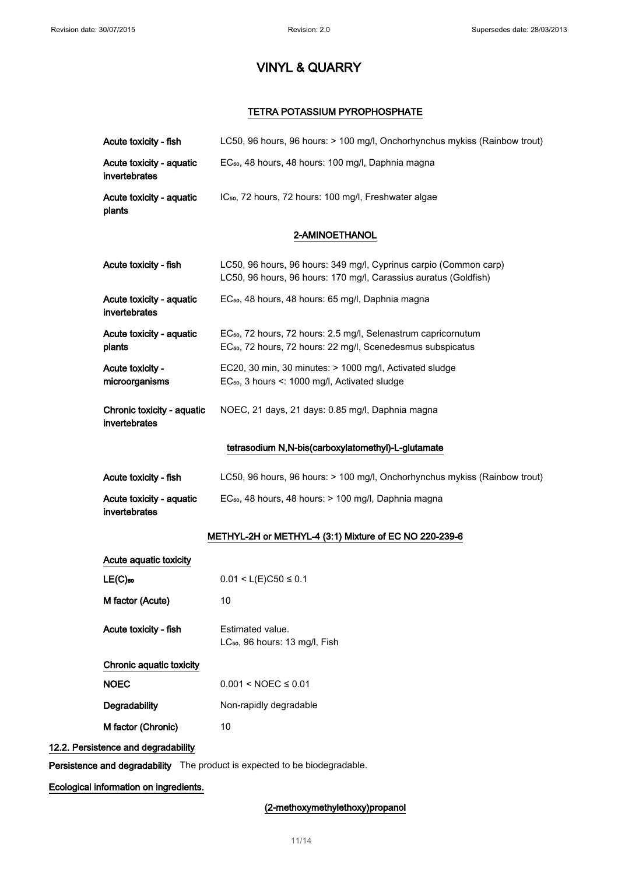### TETRA POTASSIUM PYROPHOSPHATE

| Acute toxicity - fish                       | LC50, 96 hours, 96 hours: > 100 mg/l, Onchorhynchus mykiss (Rainbow trout)                                                                            |
|---------------------------------------------|-------------------------------------------------------------------------------------------------------------------------------------------------------|
| Acute toxicity - aquatic<br>invertebrates   | EC <sub>50</sub> , 48 hours, 48 hours: 100 mg/l, Daphnia magna                                                                                        |
| Acute toxicity - aquatic<br>plants          | IC <sub>50</sub> , 72 hours, 72 hours: 100 mg/l, Freshwater algae                                                                                     |
|                                             | 2-AMINOETHANOL                                                                                                                                        |
| Acute toxicity - fish                       | LC50, 96 hours, 96 hours: 349 mg/l, Cyprinus carpio (Common carp)<br>LC50, 96 hours, 96 hours: 170 mg/l, Carassius auratus (Goldfish)                 |
| Acute toxicity - aquatic<br>invertebrates   | EC <sub>50</sub> , 48 hours, 48 hours: 65 mg/l, Daphnia magna                                                                                         |
| Acute toxicity - aquatic<br>plants          | EC <sub>50</sub> , 72 hours, 72 hours: 2.5 mg/l, Selenastrum capricornutum<br>EC <sub>50</sub> , 72 hours, 72 hours: 22 mg/l, Scenedesmus subspicatus |
| Acute toxicity -<br>microorganisms          | EC20, 30 min, 30 minutes: > 1000 mg/l, Activated sludge<br>EC <sub>50</sub> , 3 hours <: 1000 mg/l, Activated sludge                                  |
| Chronic toxicity - aquatic<br>invertebrates | NOEC, 21 days, 21 days: 0.85 mg/l, Daphnia magna                                                                                                      |
|                                             | tetrasodium N,N-bis(carboxylatomethyl)-L-glutamate                                                                                                    |
| Acute toxicity - fish                       | LC50, 96 hours, 96 hours: > 100 mg/l, Onchorhynchus mykiss (Rainbow trout)                                                                            |
| Acute toxicity - aquatic<br>invertebrates   | EC <sub>50</sub> , 48 hours, 48 hours: > 100 mg/l, Daphnia magna                                                                                      |
|                                             | METHYL-2H or METHYL-4 (3:1) Mixture of EC NO 220-239-6                                                                                                |
| Acute aquatic toxicity                      |                                                                                                                                                       |
| $LE(C)$ <sub>50</sub>                       | $0.01 < L(E)C50 \le 0.1$                                                                                                                              |
| M factor (Acute)                            | 10                                                                                                                                                    |
| Acute toxicity - fish                       | Estimated value.<br>LC <sub>50</sub> , 96 hours: 13 mg/l, Fish                                                                                        |
| Chronic aquatic toxicity                    |                                                                                                                                                       |
| <b>NOEC</b>                                 | $0.001 < NOEC \le 0.01$                                                                                                                               |
| Degradability                               | Non-rapidly degradable                                                                                                                                |
| M factor (Chronic)                          | 10                                                                                                                                                    |
| 12.2. Persistence and degradability         |                                                                                                                                                       |

Persistence and degradability The product is expected to be biodegradable.

Ecological information on ingredients.

### (2-methoxymethylethoxy)propanol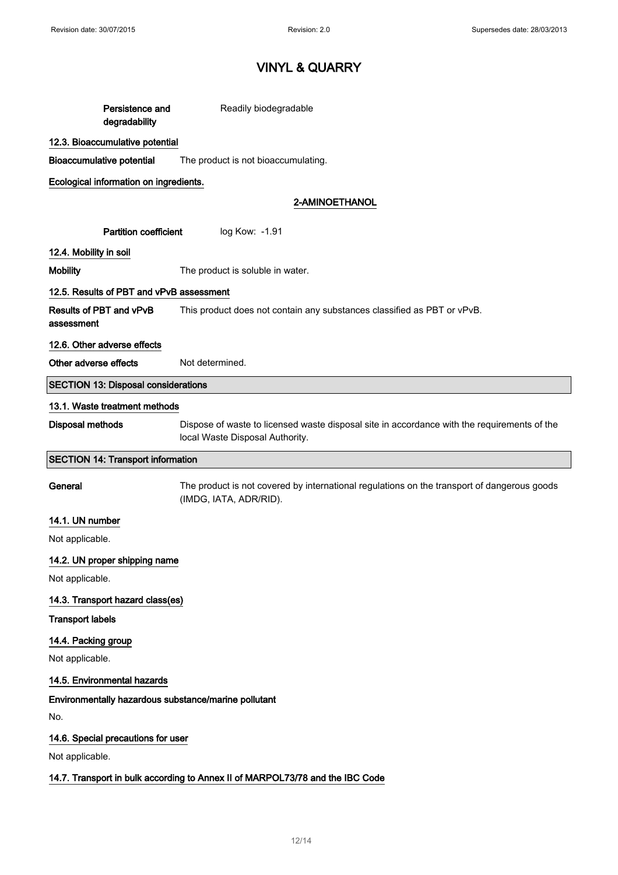| Persistence and<br>degradability                                              | Readily biodegradable                                                                                                          |  |
|-------------------------------------------------------------------------------|--------------------------------------------------------------------------------------------------------------------------------|--|
| 12.3. Bioaccumulative potential                                               |                                                                                                                                |  |
| <b>Bioaccumulative potential</b>                                              | The product is not bioaccumulating.                                                                                            |  |
| Ecological information on ingredients.                                        |                                                                                                                                |  |
|                                                                               | 2-AMINOETHANOL                                                                                                                 |  |
| <b>Partition coefficient</b><br>log Kow: - 1.91                               |                                                                                                                                |  |
| 12.4. Mobility in soil                                                        |                                                                                                                                |  |
| <b>Mobility</b>                                                               | The product is soluble in water.                                                                                               |  |
| 12.5. Results of PBT and vPvB assessment                                      |                                                                                                                                |  |
| Results of PBT and vPvB<br>assessment                                         | This product does not contain any substances classified as PBT or vPvB.                                                        |  |
| 12.6. Other adverse effects                                                   |                                                                                                                                |  |
| Other adverse effects                                                         | Not determined.                                                                                                                |  |
| <b>SECTION 13: Disposal considerations</b>                                    |                                                                                                                                |  |
| 13.1. Waste treatment methods                                                 |                                                                                                                                |  |
| Disposal methods                                                              | Dispose of waste to licensed waste disposal site in accordance with the requirements of the<br>local Waste Disposal Authority. |  |
| <b>SECTION 14: Transport information</b>                                      |                                                                                                                                |  |
| General                                                                       | The product is not covered by international regulations on the transport of dangerous goods<br>(IMDG, IATA, ADR/RID).          |  |
| 14.1. UN number                                                               |                                                                                                                                |  |
| Not applicable.                                                               |                                                                                                                                |  |
| 14.2. UN proper shipping name                                                 |                                                                                                                                |  |
| Not applicable.                                                               |                                                                                                                                |  |
| 14.3. Transport hazard class(es)                                              |                                                                                                                                |  |
| <b>Transport labels</b>                                                       |                                                                                                                                |  |
| 14.4. Packing group                                                           |                                                                                                                                |  |
| Not applicable.                                                               |                                                                                                                                |  |
| 14.5. Environmental hazards                                                   |                                                                                                                                |  |
| Environmentally hazardous substance/marine pollutant                          |                                                                                                                                |  |
| No.                                                                           |                                                                                                                                |  |
| 14.6. Special precautions for user                                            |                                                                                                                                |  |
| Not applicable.                                                               |                                                                                                                                |  |
| 14.7. Transport in bulk according to Annex II of MARPOL73/78 and the IBC Code |                                                                                                                                |  |
|                                                                               |                                                                                                                                |  |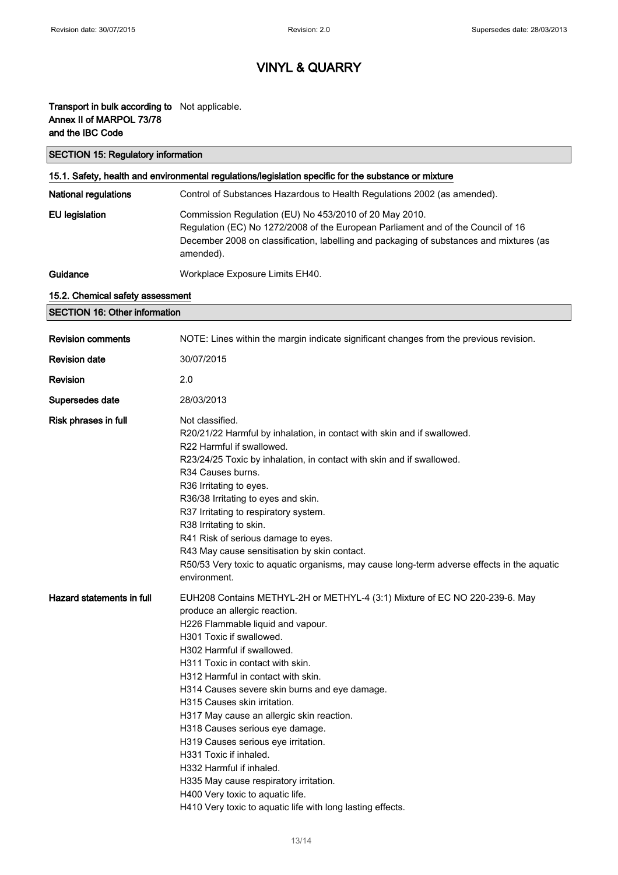### Transport in bulk according to Not applicable. Annex II of MARPOL 73/78 and the IBC Code

| <b>SECTION 15: Regulatory information</b>                                                            |                                                                                                                                                                                                                                                                                                                                                                                                                                                                                                                                                                                                                                   |  |
|------------------------------------------------------------------------------------------------------|-----------------------------------------------------------------------------------------------------------------------------------------------------------------------------------------------------------------------------------------------------------------------------------------------------------------------------------------------------------------------------------------------------------------------------------------------------------------------------------------------------------------------------------------------------------------------------------------------------------------------------------|--|
| 15.1. Safety, health and environmental regulations/legislation specific for the substance or mixture |                                                                                                                                                                                                                                                                                                                                                                                                                                                                                                                                                                                                                                   |  |
| <b>National regulations</b>                                                                          | Control of Substances Hazardous to Health Regulations 2002 (as amended).                                                                                                                                                                                                                                                                                                                                                                                                                                                                                                                                                          |  |
| <b>EU</b> legislation                                                                                | Commission Regulation (EU) No 453/2010 of 20 May 2010.<br>Regulation (EC) No 1272/2008 of the European Parliament and of the Council of 16<br>December 2008 on classification, labelling and packaging of substances and mixtures (as<br>amended).                                                                                                                                                                                                                                                                                                                                                                                |  |
| Guidance                                                                                             | Workplace Exposure Limits EH40.                                                                                                                                                                                                                                                                                                                                                                                                                                                                                                                                                                                                   |  |
| 15.2. Chemical safety assessment                                                                     |                                                                                                                                                                                                                                                                                                                                                                                                                                                                                                                                                                                                                                   |  |
| <b>SECTION 16: Other information</b>                                                                 |                                                                                                                                                                                                                                                                                                                                                                                                                                                                                                                                                                                                                                   |  |
| <b>Revision comments</b>                                                                             | NOTE: Lines within the margin indicate significant changes from the previous revision.                                                                                                                                                                                                                                                                                                                                                                                                                                                                                                                                            |  |
| <b>Revision date</b>                                                                                 | 30/07/2015                                                                                                                                                                                                                                                                                                                                                                                                                                                                                                                                                                                                                        |  |
| <b>Revision</b>                                                                                      | 2.0                                                                                                                                                                                                                                                                                                                                                                                                                                                                                                                                                                                                                               |  |
| Supersedes date                                                                                      | 28/03/2013                                                                                                                                                                                                                                                                                                                                                                                                                                                                                                                                                                                                                        |  |
| Risk phrases in full                                                                                 | Not classified.<br>R20/21/22 Harmful by inhalation, in contact with skin and if swallowed.<br>R22 Harmful if swallowed.<br>R23/24/25 Toxic by inhalation, in contact with skin and if swallowed.<br>R34 Causes burns.<br>R36 Irritating to eyes.<br>R36/38 Irritating to eyes and skin.<br>R37 Irritating to respiratory system.<br>R38 Irritating to skin.<br>R41 Risk of serious damage to eyes.<br>R43 May cause sensitisation by skin contact.<br>R50/53 Very toxic to aquatic organisms, may cause long-term adverse effects in the aquatic<br>environment.                                                                  |  |
| Hazard statements in full                                                                            | EUH208 Contains METHYL-2H or METHYL-4 (3:1) Mixture of EC NO 220-239-6. May<br>produce an allergic reaction.<br>H226 Flammable liquid and vapour.<br>H301 Toxic if swallowed.<br>H302 Harmful if swallowed.<br>H311 Toxic in contact with skin.<br>H312 Harmful in contact with skin.<br>H314 Causes severe skin burns and eye damage.<br>H315 Causes skin irritation.<br>H317 May cause an allergic skin reaction.<br>H318 Causes serious eye damage.<br>H319 Causes serious eye irritation.<br>H331 Toxic if inhaled.<br>H332 Harmful if inhaled.<br>H335 May cause respiratory irritation.<br>H400 Very toxic to aquatic life. |  |

H410 Very toxic to aquatic life with long lasting effects.